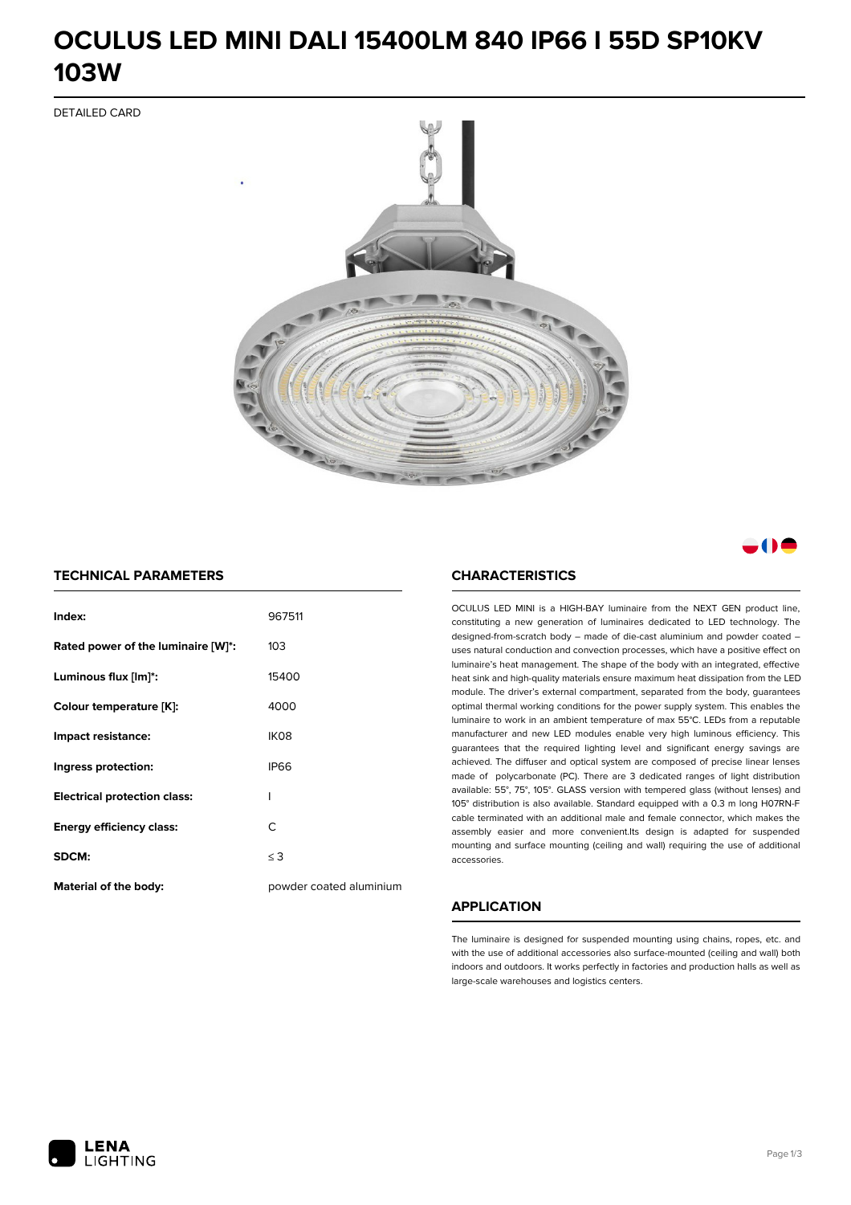# **OCULUS LED MINI DALI 15400LM 840 IP66 I 55D SP10KV 103W**

DETAILED CARD



# a M

## **TECHNICAL PARAMETERS**

| Index:                              | 967511                  |
|-------------------------------------|-------------------------|
| Rated power of the luminaire [W]*:  | 103                     |
| Luminous flux [lm]*:                | 15400                   |
| Colour temperature [K]:             | 4000                    |
| Impact resistance:                  | IK <sub>08</sub>        |
| Ingress protection:                 | <b>IP66</b>             |
| <b>Electrical protection class:</b> | ı                       |
| <b>Energy efficiency class:</b>     | C                       |
| SDCM:                               | $\leq$ 3                |
| Material of the body:               | powder coated aluminium |

#### **CHARACTERISTICS**

OCULUS LED MINI is a HIGH-BAY luminaire from the NEXT GEN product line, constituting a new generation of luminaires dedicated to LED technology. The designed-from-scratch body – made of die-cast aluminium and powder coated – uses natural conduction and convection processes, which have a positive effect on luminaire's heat management. The shape of the body with an integrated, effective heat sink and high-quality materials ensure maximum heat dissipation from the LED module. The driver's external compartment, separated from the body, guarantees optimal thermal working conditions for the power supply system. This enables the luminaire to work in an ambient temperature of max 55°C. LEDs from a reputable manufacturer and new LED modules enable very high luminous efficiency. This guarantees that the required lighting level and significant energy savings are achieved. The diffuser and optical system are composed of precise linear lenses made of polycarbonate (PC). There are 3 dedicated ranges of light distribution available: 55°, 75°, 105°. GLASS version with tempered glass (without lenses) and 105° distribution is also available. Standard equipped with a 0.3 m long H07RN-F cable terminated with an additional male and female connector, which makes the assembly easier and more convenient.Its design is adapted for suspended mounting and surface mounting (ceiling and wall) requiring the use of additional accessories.

## **APPLICATION**

The luminaire is designed for suspended mounting using chains, ropes, etc. and with the use of additional accessories also surface-mounted (ceiling and wall) both indoors and outdoors. It works perfectly in factories and production halls as well as large-scale warehouses and logistics centers.

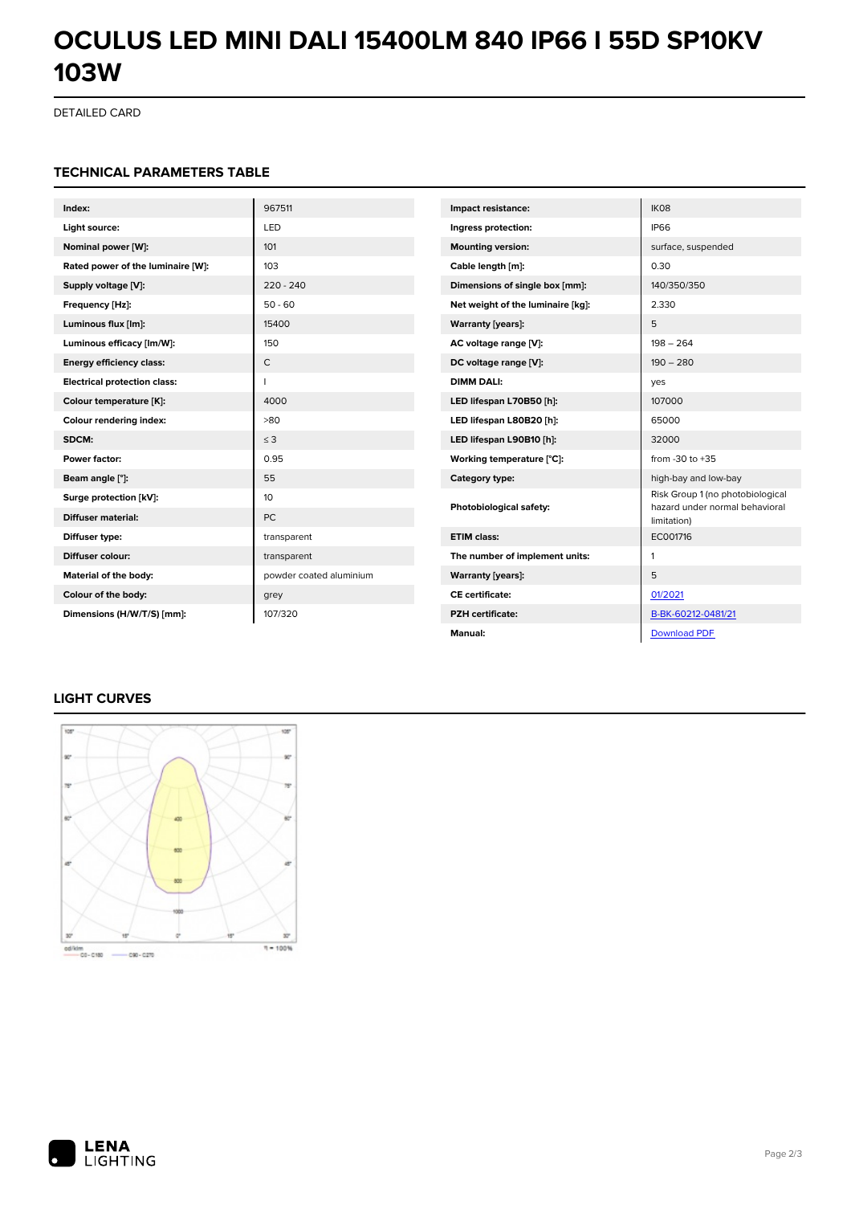# **OCULUS LED MINI DALI 15400LM 840 IP66 I 55D SP10KV 103W**

DETAILED CARD

#### **TECHNICAL PARAMETERS TABLE**

| Index:                              | 967511                  | Impact resistance:                | IK08                                                               |
|-------------------------------------|-------------------------|-----------------------------------|--------------------------------------------------------------------|
| Light source:                       | LED                     | Ingress protection:               | <b>IP66</b>                                                        |
| Nominal power [W]:                  | 101                     | <b>Mounting version:</b>          | surface, suspended                                                 |
| Rated power of the luminaire [W]:   | 103                     | Cable length [m]:                 | 0.30                                                               |
| Supply voltage [V]:                 | $220 - 240$             | Dimensions of single box [mm]:    | 140/350/350                                                        |
| Frequency [Hz]:                     | $50 - 60$               | Net weight of the luminaire [kg]: | 2.330                                                              |
| Luminous flux [lm]:                 | 15400                   | <b>Warranty [years]:</b>          | 5                                                                  |
| Luminous efficacy [lm/W]:           | 150                     | AC voltage range [V]:             | $198 - 264$                                                        |
| <b>Energy efficiency class:</b>     | $\mathsf{C}$            | DC voltage range [V]:             | $190 - 280$                                                        |
| <b>Electrical protection class:</b> | П                       | <b>DIMM DALI:</b>                 | yes                                                                |
| Colour temperature [K]:             | 4000                    | LED lifespan L70B50 [h]:          | 107000                                                             |
| Colour rendering index:             | >80                     | LED lifespan L80B20 [h]:          | 65000                                                              |
| SDCM:                               | $\leq$ 3                | LED lifespan L90B10 [h]:          | 32000                                                              |
| Power factor:                       | 0.95                    | Working temperature [°C]:         | from $-30$ to $+35$                                                |
| Beam angle [°]:                     | 55                      | Category type:                    | high-bay and low-bay                                               |
| Surge protection [kV]:              | 10                      | Photobiological safety:           | Risk Group 1 (no photobiological<br>hazard under normal behavioral |
| <b>Diffuser material:</b>           | PC.                     |                                   | limitation)                                                        |
| Diffuser type:                      | transparent             | <b>ETIM class:</b>                | EC001716                                                           |
| Diffuser colour:                    | transparent             | The number of implement units:    | 1                                                                  |
| Material of the body:               | powder coated aluminium | <b>Warranty [years]:</b>          | 5                                                                  |
| Colour of the body:                 | grey                    | <b>CE</b> certificate:            | 01/2021                                                            |
| Dimensions (H/W/T/S) [mm]:          | 107/320                 | <b>PZH</b> certificate:           | B-BK-60212-0481/21                                                 |
|                                     |                         | Manual:                           | <b>Download PDF</b>                                                |

# **LIGHT CURVES**